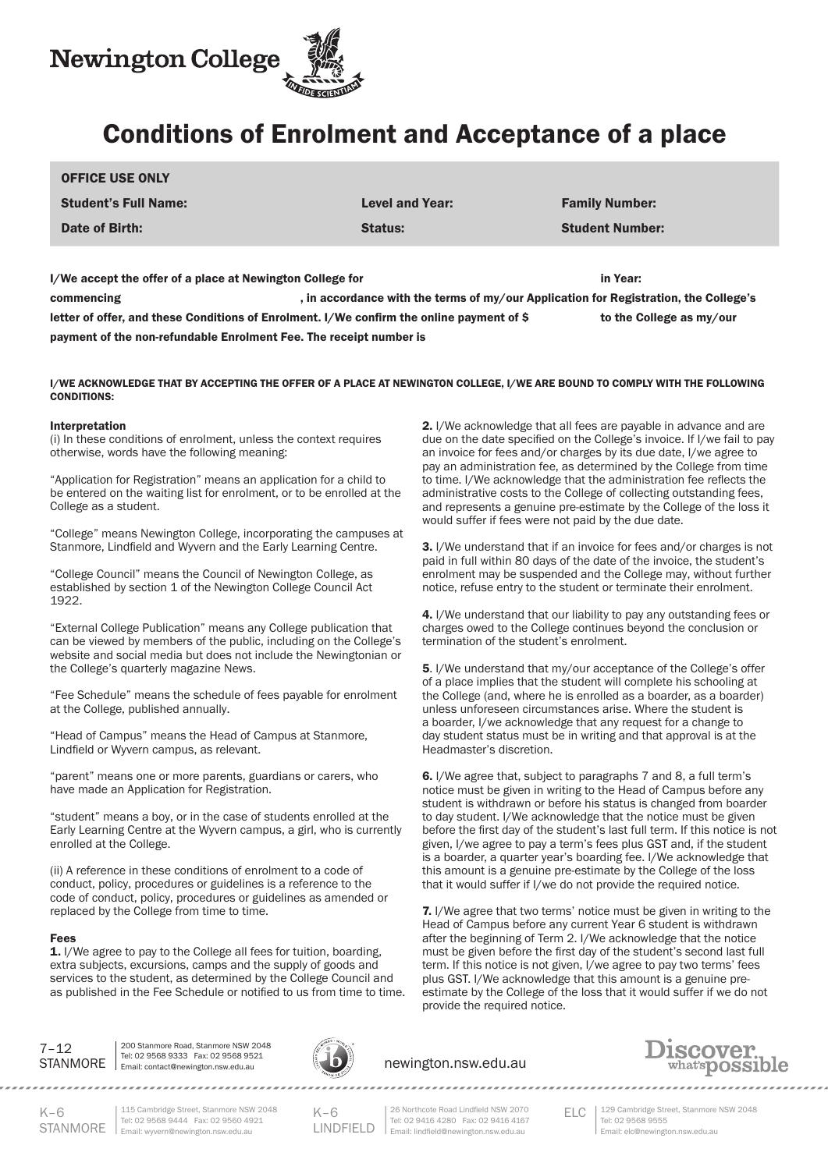

# Conditions of Enrolment and Acceptance of a place

| <b>OFFICE USE ONLY</b>                                                                    |                                                                                      |                          |
|-------------------------------------------------------------------------------------------|--------------------------------------------------------------------------------------|--------------------------|
| <b>Student's Full Name:</b>                                                               | <b>Level and Year:</b>                                                               | <b>Family Number:</b>    |
| Date of Birth:                                                                            | <b>Status:</b>                                                                       | <b>Student Number:</b>   |
| I/We accept the offer of a place at Newington College for                                 |                                                                                      | in Year:                 |
| commencing                                                                                | , in accordance with the terms of my/our Application for Registration, the College's |                          |
| letter of offer, and these Conditions of Enrolment. I/We confirm the online payment of \$ |                                                                                      | to the College as my/our |

payment of the non-refundable Enrolment Fee. The receipt number is

I/WE ACKNOWLEDGE THAT BY ACCEPTING THE OFFER OF A PLACE AT NEWINGTON COLLEGE, I/WE ARE BOUND TO COMPLY WITH THE FOLLOWING CONDITIONS:

#### Interpretation

(i) In these conditions of enrolment, unless the context requires otherwise, words have the following meaning:

"Application for Registration" means an application for a child to be entered on the waiting list for enrolment, or to be enrolled at the College as a student.

"College" means Newington College, incorporating the campuses at Stanmore, Lindfield and Wyvern and the Early Learning Centre.

"College Council" means the Council of Newington College, as established by section 1 of the Newington College Council Act 1922.

"External College Publication" means any College publication that can be viewed by members of the public, including on the College's website and social media but does not include the Newingtonian or the College's quarterly magazine News.

"Fee Schedule" means the schedule of fees payable for enrolment at the College, published annually.

"Head of Campus" means the Head of Campus at Stanmore, Lindfield or Wyvern campus, as relevant.

"parent" means one or more parents, guardians or carers, who have made an Application for Registration.

"student" means a boy, or in the case of students enrolled at the Early Learning Centre at the Wyvern campus, a girl, who is currently enrolled at the College.

(ii) A reference in these conditions of enrolment to a code of conduct, policy, procedures or guidelines is a reference to the code of conduct, policy, procedures or guidelines as amended or replaced by the College from time to time.

#### Fees

1. I/We agree to pay to the College all fees for tuition, boarding, extra subjects, excursions, camps and the supply of goods and services to the student, as determined by the College Council and as published in the Fee Schedule or notified to us from time to time. 2. I/We acknowledge that all fees are payable in advance and are due on the date specified on the College's invoice. If I/we fail to pay an invoice for fees and/or charges by its due date, I/we agree to pay an administration fee, as determined by the College from time to time. I/We acknowledge that the administration fee reflects the administrative costs to the College of collecting outstanding fees, and represents a genuine pre-estimate by the College of the loss it would suffer if fees were not paid by the due date.

3. I/We understand that if an invoice for fees and/or charges is not paid in full within 80 days of the date of the invoice, the student's enrolment may be suspended and the College may, without further notice, refuse entry to the student or terminate their enrolment.

4. I/We understand that our liability to pay any outstanding fees or charges owed to the College continues beyond the conclusion or termination of the student's enrolment.

5. I/We understand that my/our acceptance of the College's offer of a place implies that the student will complete his schooling at the College (and, where he is enrolled as a boarder, as a boarder) unless unforeseen circumstances arise. Where the student is a boarder, I/we acknowledge that any request for a change to day student status must be in writing and that approval is at the Headmaster's discretion.

6. I/We agree that, subject to paragraphs 7 and 8, a full term's notice must be given in writing to the Head of Campus before any student is withdrawn or before his status is changed from boarder to day student. I/We acknowledge that the notice must be given before the first day of the student's last full term. If this notice is not given, I/we agree to pay a term's fees plus GST and, if the student is a boarder, a quarter year's boarding fee. I/We acknowledge that this amount is a genuine pre-estimate by the College of the loss that it would suffer if I/we do not provide the required notice.

7. I/We agree that two terms' notice must be given in writing to the Head of Campus before any current Year 6 student is withdrawn after the beginning of Term 2. I/We acknowledge that the notice must be given before the first day of the student's second last full term. If this notice is not given, I/we agree to pay two terms' fees plus GST. I/We acknowledge that this amount is a genuine preestimate by the College of the loss that it would suffer if we do not provide the required notice.

7–12

STANMORE | Email: contact@newington.nsw.edu.au 200 Stanmore Road, Stanmore NSW 2048 Tel: 02 9568 9333 Fax: 02 9568 9521

.....................



# newington.nsw.edu.au

,,,,,,,,,,,,,,,,,,,,,,,,



 $K-6$ 

STANMORE Email: wyvern@newington.nsw.edu.au 115 Cambridge Street, Stanmore NSW 2048 Tel: 02 9568 9444 Fax: 02 9560 4921

 $K–6$ LINDFIELD

ELC 26 Northcote Road Lindfield NSW 2070 Tel: 02 9416 4280 Fax: 02 9416 4167 Email: lindfield@newington.nsw.edu.au

129 Cambridge Street, Stanmore NSW 2048 Tel: 02 9568 9555 Email: elc@newington.nsw.edu.au

,,,,,,,,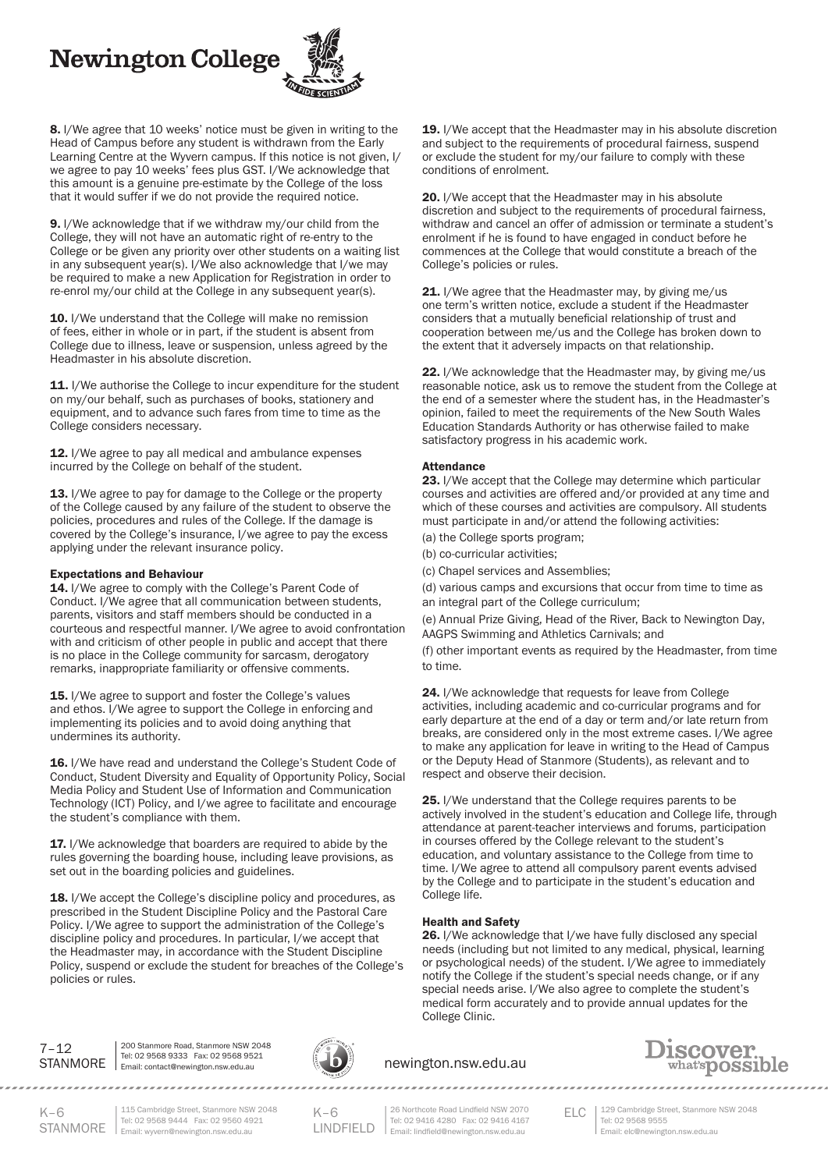**Newington College** 



8. I/We agree that 10 weeks' notice must be given in writing to the Head of Campus before any student is withdrawn from the Early Learning Centre at the Wyvern campus. If this notice is not given, I/ we agree to pay 10 weeks' fees plus GST. I/We acknowledge that this amount is a genuine pre-estimate by the College of the loss that it would suffer if we do not provide the required notice.

9. I/We acknowledge that if we withdraw my/our child from the College, they will not have an automatic right of re-entry to the College or be given any priority over other students on a waiting list in any subsequent year(s). I/We also acknowledge that I/we may be required to make a new Application for Registration in order to re-enrol my/our child at the College in any subsequent year(s).

10. I/We understand that the College will make no remission of fees, either in whole or in part, if the student is absent from College due to illness, leave or suspension, unless agreed by the Headmaster in his absolute discretion.

11. I/We authorise the College to incur expenditure for the student on my/our behalf, such as purchases of books, stationery and equipment, and to advance such fares from time to time as the College considers necessary.

12. I/We agree to pay all medical and ambulance expenses incurred by the College on behalf of the student.

13. I/We agree to pay for damage to the College or the property of the College caused by any failure of the student to observe the policies, procedures and rules of the College. If the damage is covered by the College's insurance, I/we agree to pay the excess applying under the relevant insurance policy.

#### Expectations and Behaviour

14. I/We agree to comply with the College's Parent Code of Conduct. I/We agree that all communication between students, parents, visitors and staff members should be conducted in a courteous and respectful manner. I/We agree to avoid confrontation with and criticism of other people in public and accept that there is no place in the College community for sarcasm, derogatory remarks, inappropriate familiarity or offensive comments.

15. I/We agree to support and foster the College's values and ethos. I/We agree to support the College in enforcing and implementing its policies and to avoid doing anything that undermines its authority.

16. I/We have read and understand the College's Student Code of Conduct, Student Diversity and Equality of Opportunity Policy, Social Media Policy and Student Use of Information and Communication Technology (ICT) Policy, and I/we agree to facilitate and encourage the student's compliance with them.

17. I/We acknowledge that boarders are required to abide by the rules governing the boarding house, including leave provisions, as set out in the boarding policies and guidelines.

18. I/We accept the College's discipline policy and procedures, as prescribed in the Student Discipline Policy and the Pastoral Care Policy. I/We agree to support the administration of the College's discipline policy and procedures. In particular, I/we accept that the Headmaster may, in accordance with the Student Discipline Policy, suspend or exclude the student for breaches of the College's policies or rules.

19. I/We accept that the Headmaster may in his absolute discretion and subject to the requirements of procedural fairness, suspend or exclude the student for my/our failure to comply with these conditions of enrolment.

20. I/We accept that the Headmaster may in his absolute discretion and subject to the requirements of procedural fairness, withdraw and cancel an offer of admission or terminate a student's enrolment if he is found to have engaged in conduct before he commences at the College that would constitute a breach of the College's policies or rules.

21. I/We agree that the Headmaster may, by giving me/us one term's written notice, exclude a student if the Headmaster considers that a mutually beneficial relationship of trust and cooperation between me/us and the College has broken down to the extent that it adversely impacts on that relationship.

22. I/We acknowledge that the Headmaster may, by giving me/us reasonable notice, ask us to remove the student from the College at the end of a semester where the student has, in the Headmaster's opinion, failed to meet the requirements of the New South Wales Education Standards Authority or has otherwise failed to make satisfactory progress in his academic work.

#### Attendance

23. I/We accept that the College may determine which particular courses and activities are offered and/or provided at any time and which of these courses and activities are compulsory. All students must participate in and/or attend the following activities:

- (a) the College sports program;
- (b) co-curricular activities;
- (c) Chapel services and Assemblies;
- (d) various camps and excursions that occur from time to time as an integral part of the College curriculum;

(e) Annual Prize Giving, Head of the River, Back to Newington Day, AAGPS Swimming and Athletics Carnivals; and

(f) other important events as required by the Headmaster, from time to time.

24. I/We acknowledge that requests for leave from College activities, including academic and co-curricular programs and for early departure at the end of a day or term and/or late return from breaks, are considered only in the most extreme cases. I/We agree to make any application for leave in writing to the Head of Campus or the Deputy Head of Stanmore (Students), as relevant and to respect and observe their decision.

25. I/We understand that the College requires parents to be actively involved in the student's education and College life, through attendance at parent-teacher interviews and forums, participation in courses offered by the College relevant to the student's education, and voluntary assistance to the College from time to time. I/We agree to attend all compulsory parent events advised by the College and to participate in the student's education and College life.

## Health and Safety

26. I/We acknowledge that I/we have fully disclosed any special needs (including but not limited to any medical, physical, learning or psychological needs) of the student. I/We agree to immediately notify the College if the student's special needs change, or if any special needs arise. I/We also agree to complete the student's medical form accurately and to provide annual updates for the College Clinic.



STANMORE | Email: contact@newington.nsw.edu.au 200 Stanmore Road, Stanmore NSW 2048 Tel: 02 9568 9333 Fax: 02 9568 9521



newington.nsw.edu.au



 $K-6$ 

STANMORE Email: wyvern@newington.nsw.edu.au 115 Cambridge Street, Stanmore NSW 2048 Tel: 02 9568 9444 Fax: 02 9560 4921

 $K-6$ LINDFIELD

ELC 26 Northcote Road Lindfield NSW 2070 Tel: 02 9416 4280 Fax: 02 9416 4167 Email: lindfield@newington.nsw.edu.au

129 Cambridge Street, Stanmore NSW 2048 Tel: 02 9568 9555 Email: elc@newington.nsw.edu.au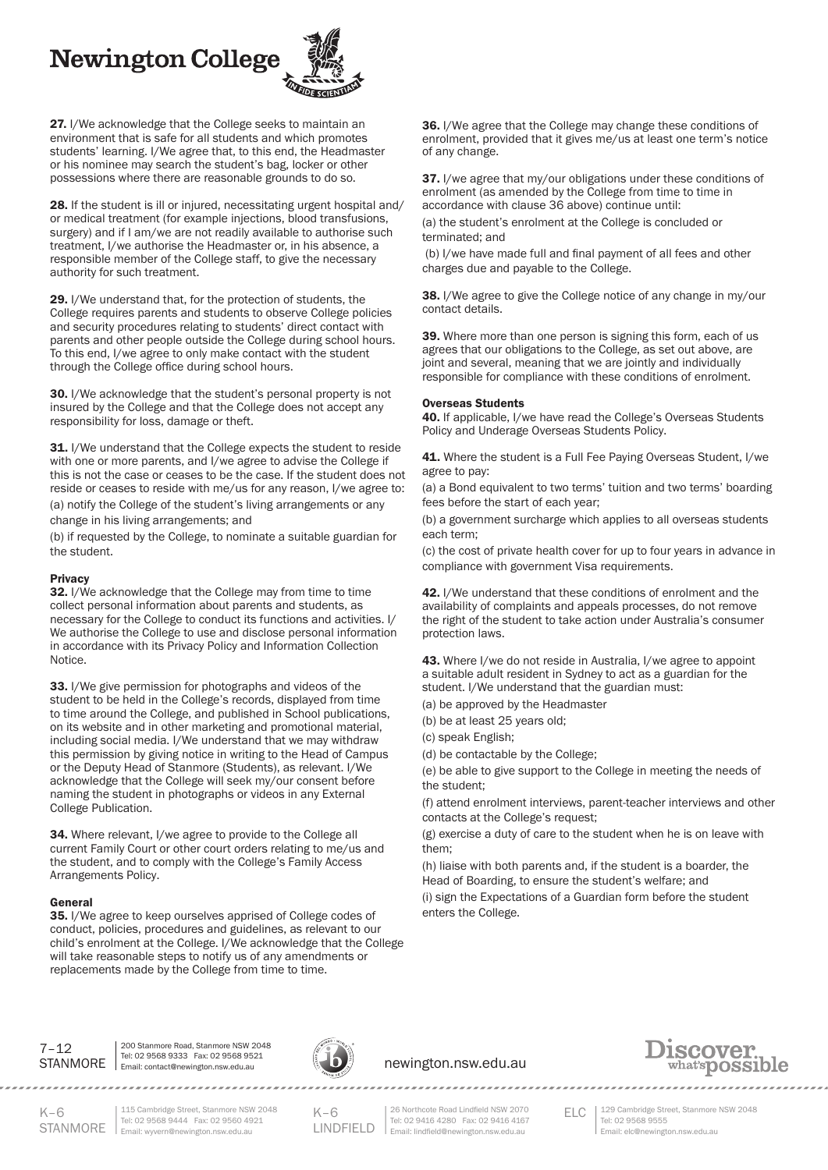# **Newington College**



27. I/We acknowledge that the College seeks to maintain an environment that is safe for all students and which promotes students' learning. I/We agree that, to this end, the Headmaster or his nominee may search the student's bag, locker or other possessions where there are reasonable grounds to do so.

28. If the student is ill or injured, necessitating urgent hospital and/ or medical treatment (for example injections, blood transfusions, surgery) and if I am/we are not readily available to authorise such treatment, I/we authorise the Headmaster or, in his absence, a responsible member of the College staff, to give the necessary authority for such treatment.

29. I/We understand that, for the protection of students, the College requires parents and students to observe College policies and security procedures relating to students' direct contact with parents and other people outside the College during school hours. To this end, I/we agree to only make contact with the student through the College office during school hours.

30. I/We acknowledge that the student's personal property is not insured by the College and that the College does not accept any responsibility for loss, damage or theft.

31. I/We understand that the College expects the student to reside with one or more parents, and I/we agree to advise the College if this is not the case or ceases to be the case. If the student does not reside or ceases to reside with me/us for any reason, I/we agree to: (a) notify the College of the student's living arrangements or any change in his living arrangements; and

(b) if requested by the College, to nominate a suitable guardian for the student.

#### Privacy

32. I/We acknowledge that the College may from time to time collect personal information about parents and students, as necessary for the College to conduct its functions and activities. I/ We authorise the College to use and disclose personal information in accordance with its Privacy Policy and Information Collection Notice.

33. I/We give permission for photographs and videos of the student to be held in the College's records, displayed from time to time around the College, and published in School publications, on its website and in other marketing and promotional material, including social media. I/We understand that we may withdraw this permission by giving notice in writing to the Head of Campus or the Deputy Head of Stanmore (Students), as relevant. I/We acknowledge that the College will seek my/our consent before naming the student in photographs or videos in any External College Publication.

34. Where relevant, I/we agree to provide to the College all current Family Court or other court orders relating to me/us and the student, and to comply with the College's Family Access Arrangements Policy.

#### General

35. I/We agree to keep ourselves apprised of College codes of conduct, policies, procedures and guidelines, as relevant to our child's enrolment at the College. I/We acknowledge that the College will take reasonable steps to notify us of any amendments or replacements made by the College from time to time.

36. I/We agree that the College may change these conditions of enrolment, provided that it gives me/us at least one term's notice of any change.

37. I/we agree that my/our obligations under these conditions of enrolment (as amended by the College from time to time in accordance with clause 36 above) continue until:

(a) the student's enrolment at the College is concluded or terminated; and

(b) I/we have made full and final payment of all fees and other charges due and payable to the College.

38. I/We agree to give the College notice of any change in my/our contact details.

39. Where more than one person is signing this form, each of us agrees that our obligations to the College, as set out above, are joint and several, meaning that we are jointly and individually responsible for compliance with these conditions of enrolment.

#### Overseas Students

40. If applicable, I/we have read the College's Overseas Students Policy and Underage Overseas Students Policy.

41. Where the student is a Full Fee Paying Overseas Student, I/we agree to pay:

(a) a Bond equivalent to two terms' tuition and two terms' boarding fees before the start of each year;

(b) a government surcharge which applies to all overseas students each term;

(c) the cost of private health cover for up to four years in advance in compliance with government Visa requirements.

42. I/We understand that these conditions of enrolment and the availability of complaints and appeals processes, do not remove the right of the student to take action under Australia's consumer protection laws.

43. Where I/we do not reside in Australia, I/we agree to appoint a suitable adult resident in Sydney to act as a guardian for the student. I/We understand that the guardian must:

(a) be approved by the Headmaster

(b) be at least 25 years old;

(c) speak English;

(d) be contactable by the College;

(e) be able to give support to the College in meeting the needs of the student;

(f) attend enrolment interviews, parent-teacher interviews and other contacts at the College's request;

(g) exercise a duty of care to the student when he is on leave with them;

(h) liaise with both parents and, if the student is a boarder, the Head of Boarding, to ensure the student's welfare; and (i) sign the Expectations of a Guardian form before the student enters the College.



STANMORE | Email: contact@newington.nsw.edu.au 200 Stanmore Road, Stanmore NSW 2048 Tel: 02 9568 9333 Fax: 02 9568 9521



## newington.nsw.edu.au



 $K-6$ 

STANMORE Email: wyvern@newington.nsw.edu.au 115 Cambridge Street, Stanmore NSW 2048 Tel: 02 9568 9444 Fax: 02 9560 4921

........................

 $K-6$ LINDFIELD

ELC 26 Northcote Road Lindfield NSW 2070 Tel: 02 9416 4280 Fax: 02 9416 4167 Email: lindfield@newington.nsw.edu.au

,,,,,,,,,,,,,,,,,,,,,,,,,

129 Cambridge Street, Stanmore NSW 2048 Tel: 02 9568 9555 Email: elc@newington.nsw.edu.au

. . . . . . . . . . . . .